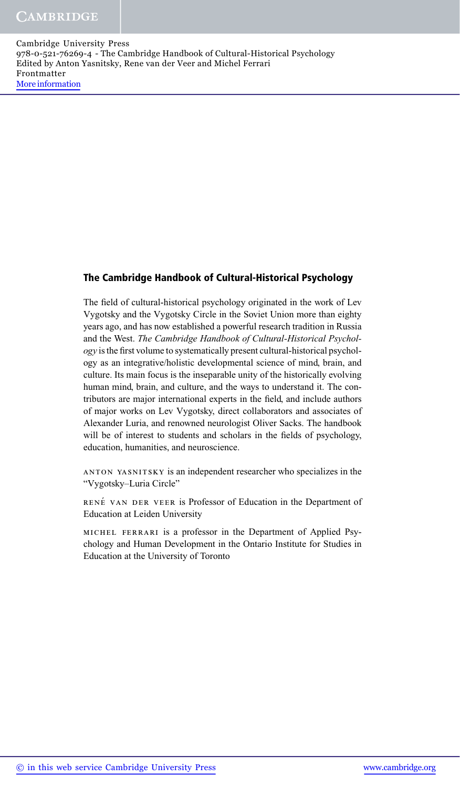Cambridge University Press 978-0-521-76269-4 - The Cambridge Handbook of Cultural-Historical Psychology Edited by Anton Yasnitsky, Rene van der Veer and Michel Ferrari Frontmatter More information

#### **The Cambridge Handbook of Cultural-Historical Psychology**

The field of cultural-historical psychology originated in the work of Lev Vygotsky and the Vygotsky Circle in the Soviet Union more than eighty years ago, and has now established a powerful research tradition in Russia and the West. *The Cambridge Handbook of Cultural-Historical Psychology* is the first volume to systematically present cultural-historical psychology as an integrative/holistic developmental science of mind, brain, and culture. Its main focus is the inseparable unity of the historically evolving human mind, brain, and culture, and the ways to understand it. The contributors are major international experts in the field, and include authors of major works on Lev Vygotsky, direct collaborators and associates of Alexander Luria, and renowned neurologist Oliver Sacks. The handbook will be of interest to students and scholars in the fields of psychology, education, humanities, and neuroscience.

anton yasnitsky is an independent researcher who specializes in the "Vygotsky–Luria Circle"

RENÉ VAN DER VEER is Professor of Education in the Department of Education at Leiden University

michel ferrari is a professor in the Department of Applied Psychology and Human Development in the Ontario Institute for Studies in Education at the University of Toronto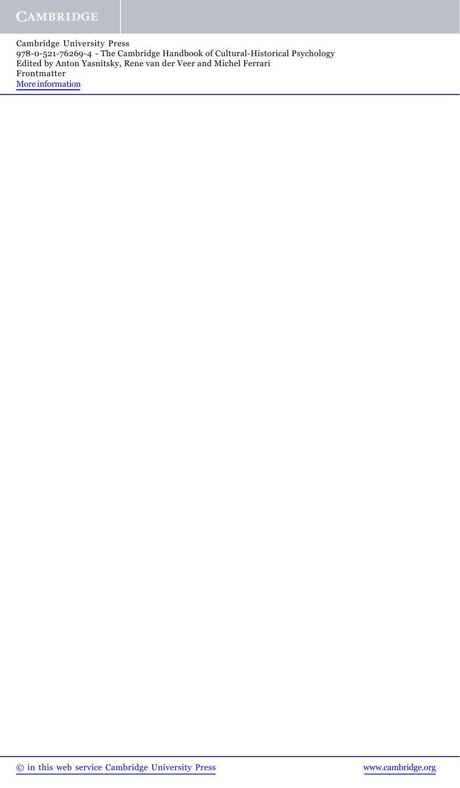Cambridge University Press 978-0-521-76269-4 - The Cambridge Handbook of Cultural-Historical Psychology Edited by Anton Yasnitsky, Rene van der Veer and Michel Ferrari Frontmatter More information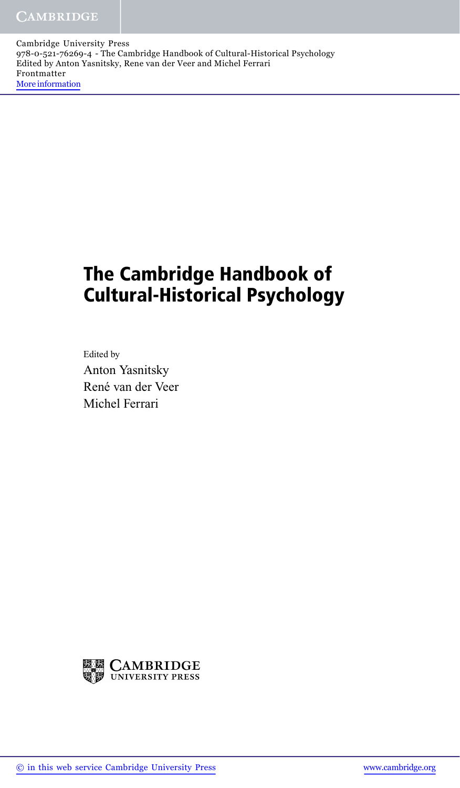Cambridge University Press 978-0-521-76269-4 - The Cambridge Handbook of Cultural-Historical Psychology Edited by Anton Yasnitsky, Rene van der Veer and Michel Ferrari Frontmatter More information

# **The Cambridge Handbook of Cultural-Historical Psychology**

Edited by Anton Yasnitsky René van der Veer Michel Ferrari

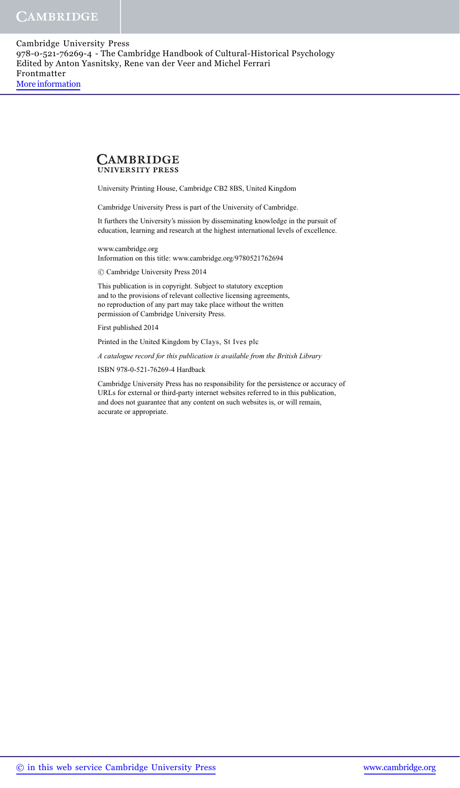

University Printing House, Cambridge CB2 8BS, United Kingdom

Cambridge University Press is part of the University of Cambridge.

It furthers the University's mission by disseminating knowledge in the pursuit of education, learning and research at the highest international levels of excellence.

www.cambridge.org Information on this title: www.cambridge.org/9780521762694

-<sup>C</sup> Cambridge University Press 2014

This publication is in copyright. Subject to statutory exception and to the provisions of relevant collective licensing agreements, no reproduction of any part may take place without the written permission of Cambridge University Press.

First published 2014

Printed in the United Kingdom by Clays, St Ives plc

*A catalogue record for this publication is available from the British Library*

ISBN 978-0-521-76269-4 Hardback

Cambridge University Press has no responsibility for the persistence or accuracy of URLs for external or third-party internet websites referred to in this publication, and does not guarantee that any content on such websites is, or will remain, accurate or appropriate.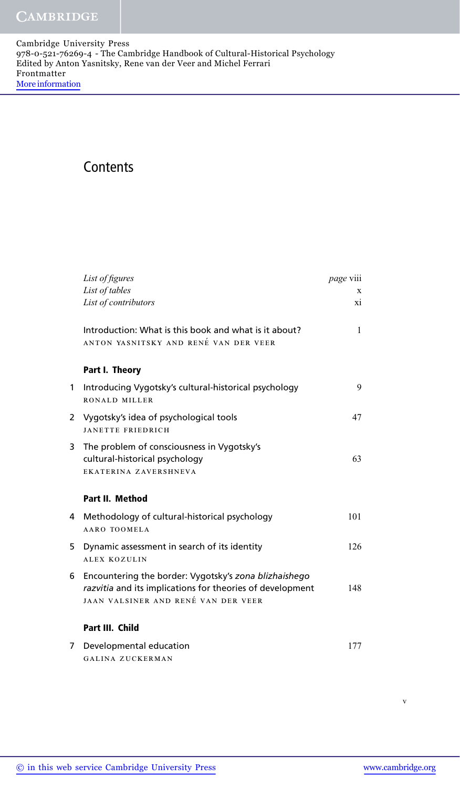### **Contents**

|                | List of figures                                                                                                                                           | <i>page</i> viii |
|----------------|-----------------------------------------------------------------------------------------------------------------------------------------------------------|------------------|
|                | List of tables                                                                                                                                            | X                |
|                | List of contributors                                                                                                                                      | xi               |
|                | Introduction: What is this book and what is it about?<br>ANTON YASNITSKY AND RENÉ VAN DER VEER                                                            | $\mathbf{1}$     |
|                | Part I. Theory                                                                                                                                            |                  |
| 1              | Introducing Vygotsky's cultural-historical psychology<br><b>RONALD MILLER</b>                                                                             | 9                |
| 2              | Vygotsky's idea of psychological tools<br><b>JANETTE FRIEDRICH</b>                                                                                        | 47               |
| 3              | The problem of consciousness in Vygotsky's<br>cultural-historical psychology<br>EKATERINA ZAVERSHNEVA                                                     | 63               |
|                | Part II. Method                                                                                                                                           |                  |
| 4              | Methodology of cultural-historical psychology<br><b>AARO TOOMELA</b>                                                                                      | 101              |
| 5              | Dynamic assessment in search of its identity<br><b>ALEX KOZULIN</b>                                                                                       | 126              |
| 6              | Encountering the border: Vygotsky's zona blizhaishego<br>razvitia and its implications for theories of development<br>JAAN VALSINER AND RENÉ VAN DER VEER | 148              |
|                | Part III. Child                                                                                                                                           |                  |
| $\overline{7}$ | Developmental education<br>GALINA ZUCKERMAN                                                                                                               | 177              |

v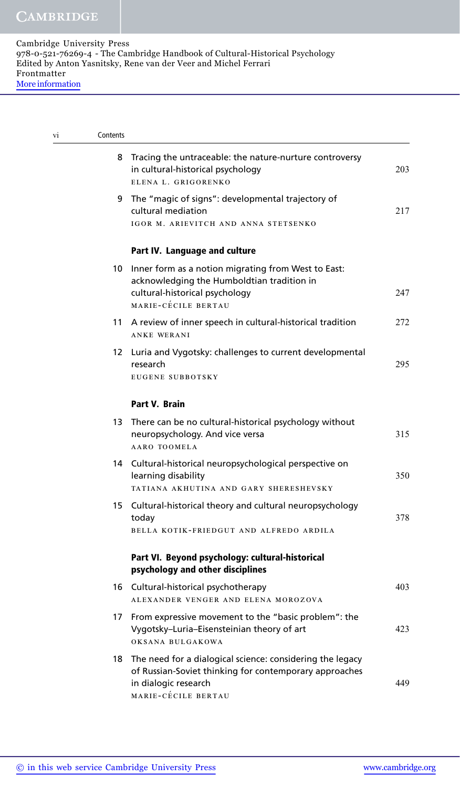| vi | Contents |                                                                                                                                                                    |     |
|----|----------|--------------------------------------------------------------------------------------------------------------------------------------------------------------------|-----|
|    | 8        | Tracing the untraceable: the nature-nurture controversy<br>in cultural-historical psychology<br>ELENA L. GRIGORENKO                                                | 203 |
|    | 9.       | The "magic of signs": developmental trajectory of<br>cultural mediation<br>IGOR M. ARIEVITCH AND ANNA STETSENKO                                                    | 217 |
|    |          | Part IV. Language and culture                                                                                                                                      |     |
|    |          | 10 Inner form as a notion migrating from West to East:<br>acknowledging the Humboldtian tradition in<br>cultural-historical psychology<br>MARIE-CÉCILE BERTAU      | 247 |
|    | 11       | A review of inner speech in cultural-historical tradition<br><b>ANKE WERANI</b>                                                                                    | 272 |
|    | 12       | Luria and Vygotsky: challenges to current developmental<br>research<br><b>EUGENE SUBBOTSKY</b>                                                                     | 295 |
|    |          | <b>Part V. Brain</b>                                                                                                                                               |     |
|    |          | 13 There can be no cultural-historical psychology without<br>neuropsychology. And vice versa<br><b>AARO TOOMELA</b>                                                | 315 |
|    |          | 14 Cultural-historical neuropsychological perspective on<br>learning disability<br>TATIANA AKHUTINA AND GARY SHERESHEVSKY                                          | 350 |
|    |          | 15 Cultural-historical theory and cultural neuropsychology<br>today<br>BELLA KOTIK-FRIEDGUT AND ALFREDO ARDILA                                                     | 378 |
|    |          | Part VI. Beyond psychology: cultural-historical<br>psychology and other disciplines                                                                                |     |
|    |          | 16 Cultural-historical psychotherapy<br>ALEXANDER VENGER AND ELENA MOROZOVA                                                                                        | 403 |
|    | 17       | From expressive movement to the "basic problem": the<br>Vygotsky-Luria-Eisensteinian theory of art<br>OKSANA BULGAKOWA                                             | 423 |
|    | 18       | The need for a dialogical science: considering the legacy<br>of Russian-Soviet thinking for contemporary approaches<br>in dialogic research<br>MARIE-CÉCILE BERTAU | 449 |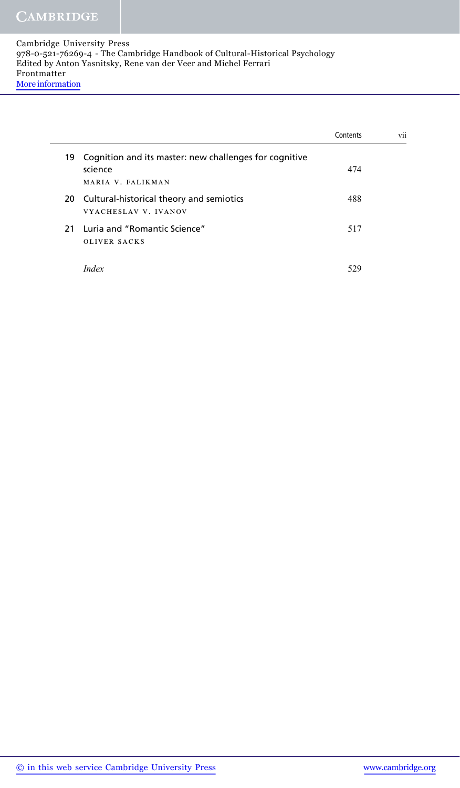|    |                                                                                        | Contents | VII |
|----|----------------------------------------------------------------------------------------|----------|-----|
| 19 | Cognition and its master: new challenges for cognitive<br>science<br>MARIA V. FALIKMAN | 474      |     |
|    | 20 Cultural-historical theory and semiotics<br>VYACHESLAV V. IVANOV                    | 488      |     |
|    | 21 Luria and "Romantic Science"<br>OLIVER SACKS                                        | 517      |     |
|    | Index                                                                                  | 529      |     |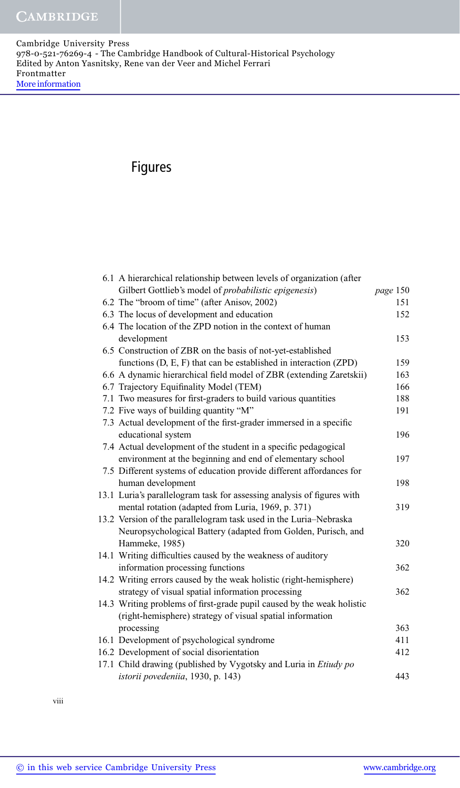# Figures

| 6.1 A hierarchical relationship between levels of organization (after  |          |
|------------------------------------------------------------------------|----------|
| Gilbert Gottlieb's model of probabilistic epigenesis)                  | page 150 |
| 6.2 The "broom of time" (after Anisov, 2002)                           | 151      |
| 6.3 The locus of development and education                             | 152      |
| 6.4 The location of the ZPD notion in the context of human             |          |
| development                                                            | 153      |
| 6.5 Construction of ZBR on the basis of not-yet-established            |          |
| functions $(D, E, F)$ that can be established in interaction (ZPD)     | 159      |
| 6.6 A dynamic hierarchical field model of ZBR (extending Zaretskii)    | 163      |
| 6.7 Trajectory Equifinality Model (TEM)                                | 166      |
| 7.1 Two measures for first-graders to build various quantities         | 188      |
| 7.2 Five ways of building quantity "M"                                 | 191      |
| 7.3 Actual development of the first-grader immersed in a specific      |          |
| educational system                                                     | 196      |
| 7.4 Actual development of the student in a specific pedagogical        |          |
| environment at the beginning and end of elementary school              | 197      |
| 7.5 Different systems of education provide different affordances for   |          |
| human development                                                      | 198      |
| 13.1 Luria's parallelogram task for assessing analysis of figures with |          |
| mental rotation (adapted from Luria, 1969, p. 371)                     | 319      |
| 13.2 Version of the parallelogram task used in the Luria-Nebraska      |          |
| Neuropsychological Battery (adapted from Golden, Purisch, and          |          |
| Hammeke, 1985)                                                         | 320      |
| 14.1 Writing difficulties caused by the weakness of auditory           |          |
| information processing functions                                       | 362      |
| 14.2 Writing errors caused by the weak holistic (right-hemisphere)     |          |
| strategy of visual spatial information processing                      | 362      |
| 14.3 Writing problems of first-grade pupil caused by the weak holistic |          |
| (right-hemisphere) strategy of visual spatial information              |          |
| processing                                                             | 363      |
| 16.1 Development of psychological syndrome                             | 411      |
| 16.2 Development of social disorientation                              | 412      |
| 17.1 Child drawing (published by Vygotsky and Luria in Etiudy po       |          |
| istorii povedeniia, 1930, p. 143)                                      | 443      |

viii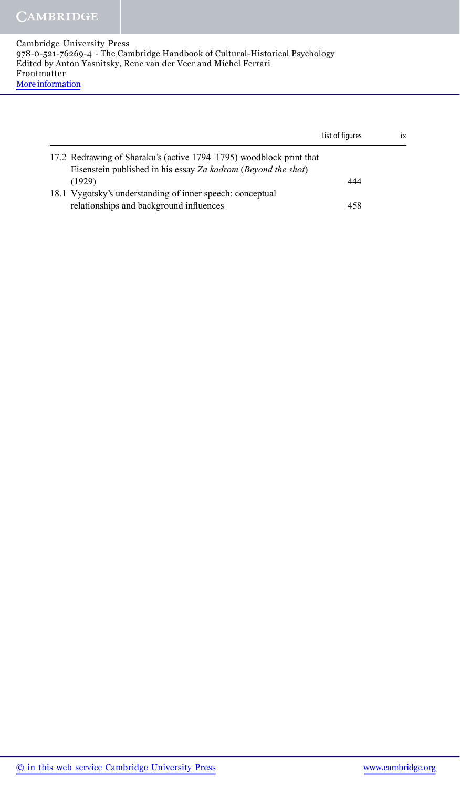|                                                                                                                                      | List of figures | 1X |
|--------------------------------------------------------------------------------------------------------------------------------------|-----------------|----|
| 17.2 Redrawing of Sharaku's (active 1794–1795) woodblock print that<br>Eisenstein published in his essay Za kadrom (Beyond the shot) |                 |    |
| (1929)                                                                                                                               | 444             |    |
| 18.1 Vygotsky's understanding of inner speech: conceptual<br>relationships and background influences                                 | 458             |    |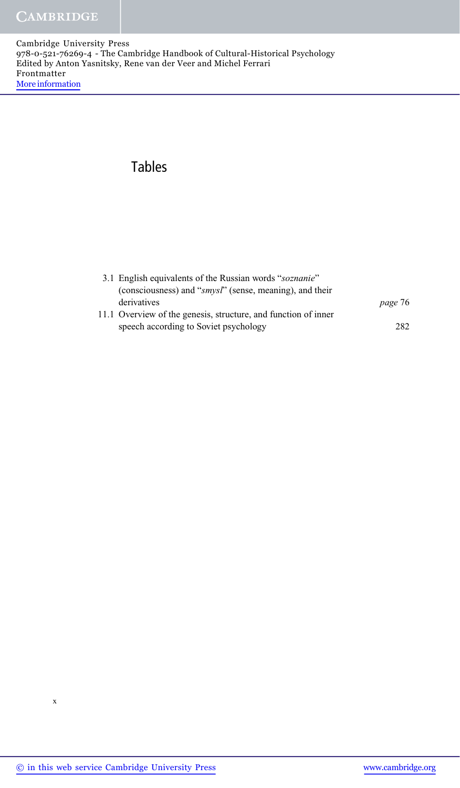# Tables

| 3.1 English equivalents of the Russian words "soznanie"        |         |
|----------------------------------------------------------------|---------|
| (consciousness) and "smysl" (sense, meaning), and their        |         |
| derivatives                                                    | page 76 |
| 11.1 Overview of the genesis, structure, and function of inner |         |
| speech according to Soviet psychology                          | 282     |

x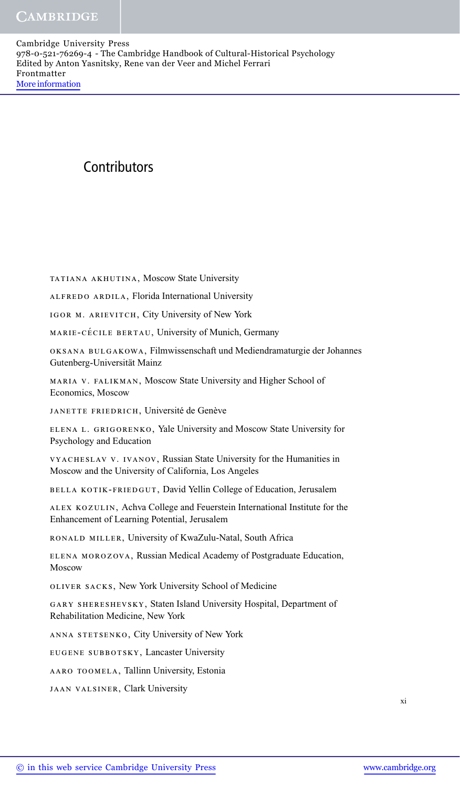### **Contributors**

tatiana akhutina, Moscow State University

alfredo ardila, Florida International University

igor m. arievitch, City University of New York

MARIE-CÉCILE BERTAU, University of Munich, Germany

oksana bulgakowa, Filmwissenschaft und Mediendramaturgie der Johannes Gutenberg-Universität Mainz

maria v. falikman, Moscow State University and Higher School of Economics, Moscow

JANETTE FRIEDRICH, Université de Genève

elena l. grigorenko, Yale University and Moscow State University for Psychology and Education

vyacheslav v. ivanov, Russian State University for the Humanities in Moscow and the University of California, Los Angeles

bella kotik-friedgut, David Yellin College of Education, Jerusalem

alex kozulin, Achva College and Feuerstein International Institute for the Enhancement of Learning Potential, Jerusalem

ronald miller, University of KwaZulu-Natal, South Africa

elena morozova, Russian Medical Academy of Postgraduate Education, Moscow

oliver sacks, New York University School of Medicine

gary shereshevsky, Staten Island University Hospital, Department of Rehabilitation Medicine, New York

anna stetsenko, City University of New York

eugene subbotsky, Lancaster University

aaro toomela, Tallinn University, Estonia

jaan valsiner, Clark University